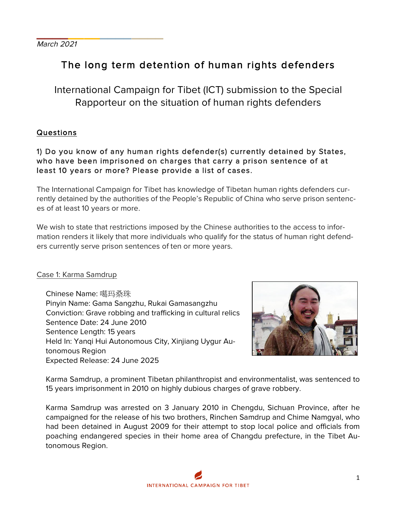March 2021

**\_\_\_\_\_\_\_\_\_\_\_\_\_\_\_\_**

# The long term detention of human rights defenders

International Campaign for Tibet (ICT) submission to the Special Rapporteur on the situation of human rights defenders

# Questions

# 1) Do you know of any human rights defender(s) currently detained by States, who have been imprisoned on charges that carry a prison sentence of at least 10 years or more? Please provide a list of cases.

The International Campaign for Tibet has knowledge of Tibetan human rights defenders currently detained by the authorities of the People's Republic of China who serve prison sentences of at least 10 years or more.

We wish to state that restrictions imposed by the Chinese authorities to the access to information renders it likely that more individuals who qualify for the status of human right defenders currently serve prison sentences of ten or more years.

#### Case 1: Karma Samdrup

Chinese Name: 噶玛桑珠 Pinyin Name: Gama Sangzhu, Rukai Gamasangzhu Conviction: Grave robbing and trafficking in cultural relics Sentence Date: 24 June 2010 Sentence Length: 15 years Held In: Yanqi Hui Autonomous City, Xinjiang Uygur Autonomous Region Expected Release: 24 June 2025



Karma Samdrup, a prominent Tibetan philanthropist and environmentalist, was sentenced to 15 years imprisonment in 2010 on highly dubious charges of grave robbery.

Karma Samdrup was arrested on 3 January 2010 in Chengdu, Sichuan Province, after he campaigned for the release of his two brothers, Rinchen Samdrup and Chime Namgyal, who had been detained in August 2009 for their attempt to stop local police and officials from poaching endangered species in their home area of Changdu prefecture, in the Tibet Autonomous Region.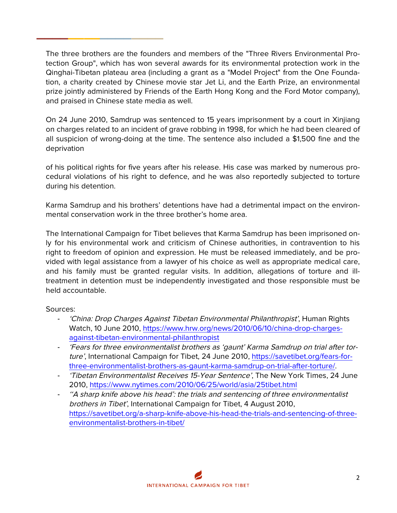The three brothers are the founders and members of the "Three Rivers Environmental Protection Group", which has won several awards for its environmental protection work in the Qinghai-Tibetan plateau area (including a grant as a "Model Project" from the One Foundation, a charity created by Chinese movie star Jet Li, and the Earth Prize, an environmental prize jointly administered by Friends of the Earth Hong Kong and the Ford Motor company), and praised in Chinese state media as well.

On 24 June 2010, Samdrup was sentenced to 15 years imprisonment by a court in Xinjiang on charges related to an incident of grave robbing in 1998, for which he had been cleared of all suspicion of wrong-doing at the time. The sentence also included a \$1,500 fine and the deprivation

of his political rights for five years after his release. His case was marked by numerous procedural violations of his right to defence, and he was also reportedly subjected to torture during his detention.

Karma Samdrup and his brothers' detentions have had a detrimental impact on the environmental conservation work in the three brother's home area.

The International Campaign for Tibet believes that Karma Samdrup has been imprisoned only for his environmental work and criticism of Chinese authorities, in contravention to his right to freedom of opinion and expression. He must be released immediately, and be provided with legal assistance from a lawyer of his choice as well as appropriate medical care, and his family must be granted regular visits. In addition, allegations of torture and illtreatment in detention must be independently investigated and those responsible must be held accountable.

#### Sources:

**\_\_\_\_\_\_\_\_\_\_\_\_\_\_\_\_**

- 'China: Drop Charges Against Tibetan Environmental Philanthropist', Human Rights Watch, 10 June 2010, https://www.hrw.org/news/2010/06/10/china-drop-chargesagainst-tibetan-environmental-philanthropist
- 'Fears for three environmentalist brothers as 'gaunt' Karma Samdrup on trial after torture', International Campaign for Tibet, 24 June 2010, https://savetibet.org/fears-forthree-environmentalist-brothers-as-gaunt-karma-samdrup-on-trial-after-torture/.
- 'Tibetan Environmentalist Receives 15-Year Sentence', The New York Times, 24 June 2010, https://www.nytimes.com/2010/06/25/world/asia/25tibet.html
- ''A sharp knife above his head': the trials and sentencing of three environmentalist brothers in Tibet', International Campaign for Tibet, 4 August 2010, https://savetibet.org/a-sharp-knife-above-his-head-the-trials-and-sentencing-of-threeenvironmentalist-brothers-in-tibet/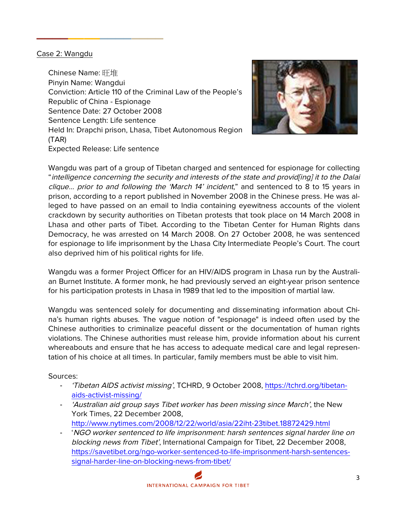#### Case 2: Wangdu

**\_\_\_\_\_\_\_\_\_\_\_\_\_\_\_\_**

Chinese Name: 旺堆 Pinyin Name: Wangdui Conviction: Article 110 of the Criminal Law of the People's Republic of China - Espionage Sentence Date: 27 October 2008 Sentence Length: Life sentence Held In: Drapchi prison, Lhasa, Tibet Autonomous Region (TAR) Expected Release: Life sentence



Wangdu was part of a group of Tibetan charged and sentenced for espionage for collecting "intelligence concerning the security and interests of the state and provid[ing] it to the Dalai clique… prior to and following the 'March 14' incident," and sentenced to 8 to 15 years in prison, according to a report published in November 2008 in the Chinese press. He was alleged to have passed on an email to India containing eyewitness accounts of the violent crackdown by security authorities on Tibetan protests that took place on 14 March 2008 in Lhasa and other parts of Tibet. According to the Tibetan Center for Human Rights dans Democracy, he was arrested on 14 March 2008. On 27 October 2008, he was sentenced for espionage to life imprisonment by the Lhasa City Intermediate People's Court. The court also deprived him of his political rights for life.

Wangdu was a former Project Officer for an HIV/AIDS program in Lhasa run by the Australian Burnet Institute. A former monk, he had previously served an eight-year prison sentence for his participation protests in Lhasa in 1989 that led to the imposition of martial law.

Wangdu was sentenced solely for documenting and disseminating information about China's human rights abuses. The vague notion of "espionage" is indeed often used by the Chinese authorities to criminalize peaceful dissent or the documentation of human rights violations. The Chinese authorities must release him, provide information about his current whereabouts and ensure that he has access to adequate medical care and legal representation of his choice at all times. In particular, family members must be able to visit him.

#### Sources:

- 'Tibetan AIDS activist missing', TCHRD, 9 October 2008, https://tchrd.org/tibetanaids-activist-missing/
- 'Australian aid group says Tibet worker has been missing since March', the New York Times, 22 December 2008, http://www.nytimes.com/2008/12/22/world/asia/22iht-23tibet.18872429.html
- 'NGO worker sentenced to life imprisonment: harsh sentences signal harder line on blocking news from Tibet', International Campaign for Tibet, 22 December 2008, https://savetibet.org/ngo-worker-sentenced-to-life-imprisonment-harsh-sentencessignal-harder-line-on-blocking-news-from-tibet/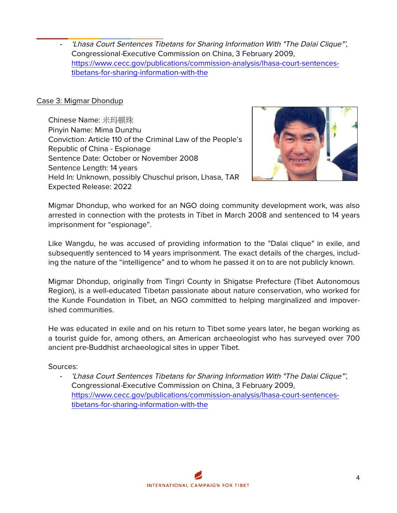**\_\_\_\_\_\_\_\_\_\_\_\_\_\_\_\_** - 'Lhasa Court Sentences Tibetans for Sharing Information With "The Dalai Clique"', Congressional-Executive Commission on China, 3 February 2009, https://www.cecc.gov/publications/commission-analysis/lhasa-court-sentencestibetans-for-sharing-information-with-the

#### Case 3: Migmar Dhondup

Chinese Name: 米玛顿珠 Pinyin Name: Mima Dunzhu Conviction: Article 110 of the Criminal Law of the People's Republic of China - Espionage Sentence Date: October or November 2008 Sentence Length: 14 years Held In: Unknown, possibly Chuschul prison, Lhasa, TAR Expected Release: 2022



Migmar Dhondup, who worked for an NGO doing community development work, was also arrested in connection with the protests in Tibet in March 2008 and sentenced to 14 years imprisonment for "espionage".

Like Wangdu, he was accused of providing information to the "Dalai clique" in exile, and subsequently sentenced to 14 years imprisonment. The exact details of the charges, including the nature of the "intelligence" and to whom he passed it on to are not publicly known.

Migmar Dhondup, originally from Tingri County in Shigatse Prefecture (Tibet Autonomous Region), is a well-educated Tibetan passionate about nature conservation, who worked for the Kunde Foundation in Tibet, an NGO committed to helping marginalized and impoverished communities.

He was educated in exile and on his return to Tibet some years later, he began working as a tourist guide for, among others, an American archaeologist who has surveyed over 700 ancient pre-Buddhist archaeological sites in upper Tibet.

#### Sources:

- 'Lhasa Court Sentences Tibetans for Sharing Information With "The Dalai Clique"', Congressional-Executive Commission on China, 3 February 2009, https://www.cecc.gov/publications/commission-analysis/lhasa-court-sentencestibetans-for-sharing-information-with-the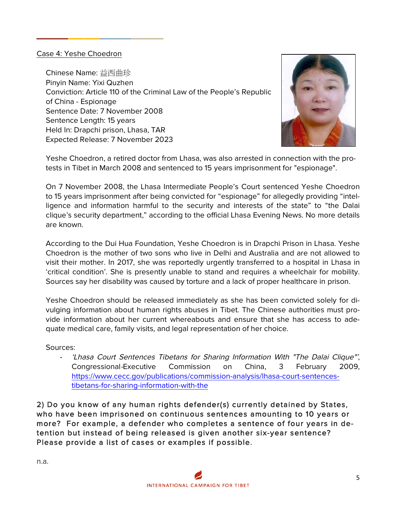#### Case 4: Yeshe Choedron

**\_\_\_\_\_\_\_\_\_\_\_\_\_\_\_\_**

Chinese Name: 益西曲珍 Pinyin Name: Yixi Quzhen Conviction: Article 110 of the Criminal Law of the People's Republic of China - Espionage Sentence Date: 7 November 2008 Sentence Length: 15 years Held In: Drapchi prison, Lhasa, TAR Expected Release: 7 November 2023



Yeshe Choedron, a retired doctor from Lhasa, was also arrested in connection with the protests in Tibet in March 2008 and sentenced to 15 years imprisonment for "espionage".

On 7 November 2008, the Lhasa Intermediate People's Court sentenced Yeshe Choedron to 15 years imprisonment after being convicted for "espionage" for allegedly providing "intelligence and information harmful to the security and interests of the state" to "the Dalai clique's security department," according to the official Lhasa Evening News. No more details are known.

According to the Dui Hua Foundation, Yeshe Choedron is in Drapchi Prison in Lhasa. Yeshe Choedron is the mother of two sons who live in Delhi and Australia and are not allowed to visit their mother. In 2017, she was reportedly urgently transferred to a hospital in Lhasa in 'critical condition'. She is presently unable to stand and requires a wheelchair for mobility. Sources say her disability was caused by torture and a lack of proper healthcare in prison.

Yeshe Choedron should be released immediately as she has been convicted solely for divulging information about human rights abuses in Tibet. The Chinese authorities must provide information about her current whereabouts and ensure that she has access to adequate medical care, family visits, and legal representation of her choice.

Sources:

'Lhasa Court Sentences Tibetans for Sharing Information With "The Dalai Clique"', Congressional-Executive Commission on China, 3 February 2009, https://www.cecc.gov/publications/commission-analysis/lhasa-court-sentencestibetans-for-sharing-information-with-the

2) Do you know of any human rights defender(s) currently detained by States, who have been imprisoned on continuous sentences amounting to 10 years or more? For example, a defender who completes a sentence of four years in detention but instead of being released is given another six-year sentence? Please provide a list of cases or examples if possible.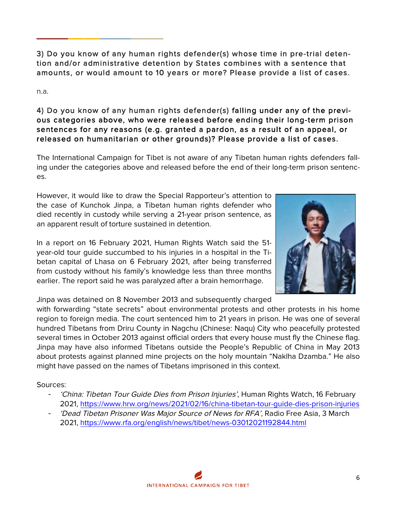3) Do you know of any human rights defender(s) whose time in pre-trial detention and/or administrative detention by States combines with a sentence that amounts, or would amount to 10 years or more? Please provide a list of cases.

n.a.

**\_\_\_\_\_\_\_\_\_\_\_\_\_\_\_\_**

# 4) Do you know of any human rights defender(s) falling under any of the previous categories above, who were released before ending their long-term prison sentences for any reasons (e.g. granted a pardon, as a result of an appeal, or released on humanitarian or other grounds)? Please provide a list of cases.

The International Campaign for Tibet is not aware of any Tibetan human rights defenders falling under the categories above and released before the end of their long-term prison sentences.

However, it would like to draw the Special Rapporteur's attention to the case of Kunchok Jinpa, a Tibetan human rights defender who died recently in custody while serving a 21-year prison sentence, as an apparent result of torture sustained in detention.

In a report on 16 February 2021, Human Rights Watch said the 51 year-old tour guide succumbed to his injuries in a hospital in the Tibetan capital of Lhasa on 6 February 2021, after being transferred from custody without his family's knowledge less than three months earlier. The report said he was paralyzed after a brain hemorrhage.



Jinpa was detained on 8 November 2013 and subsequently charged

with forwarding "state secrets" about environmental protests and other protests in his home region to foreign media. The court sentenced him to 21 years in prison. He was one of several hundred Tibetans from Driru County in Nagchu (Chinese: Naqu) City who peacefully protested several times in October 2013 against official orders that every house must fly the Chinese flag. Jinpa may have also informed Tibetans outside the People's Republic of China in May 2013 about protests against planned mine projects on the holy mountain "Naklha Dzamba." He also might have passed on the names of Tibetans imprisoned in this context.

Sources:

- 'China: Tibetan Tour Guide Dies from Prison Injuries', Human Rights Watch, 16 February 2021, https://www.hrw.org/news/2021/02/16/china-tibetan-tour-guide-dies-prison-injuries
- 'Dead Tibetan Prisoner Was Major Source of News for RFA', Radio Free Asia, 3 March 2021, https://www.rfa.org/english/news/tibet/news-03012021192844.html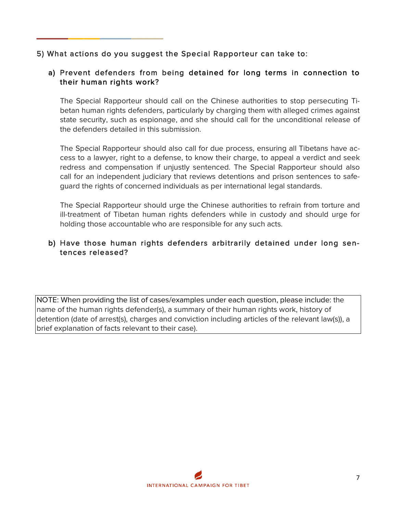# 5) What actions do you suggest the Special Rapporteur can take to:

**\_\_\_\_\_\_\_\_\_\_\_\_\_\_\_\_**

## a) Prevent defenders from being detained for long terms in connection to their human rights work?

The Special Rapporteur should call on the Chinese authorities to stop persecuting Tibetan human rights defenders, particularly by charging them with alleged crimes against state security, such as espionage, and she should call for the unconditional release of the defenders detailed in this submission.

The Special Rapporteur should also call for due process, ensuring all Tibetans have access to a lawyer, right to a defense, to know their charge, to appeal a verdict and seek redress and compensation if unjustly sentenced. The Special Rapporteur should also call for an independent judiciary that reviews detentions and prison sentences to safeguard the rights of concerned individuals as per international legal standards.

The Special Rapporteur should urge the Chinese authorities to refrain from torture and ill-treatment of Tibetan human rights defenders while in custody and should urge for holding those accountable who are responsible for any such acts.

#### b) Have those human rights defenders arbitrarily detained under long sentences released?

NOTE: When providing the list of cases/examples under each question, please include: the name of the human rights defender(s), a summary of their human rights work, history of detention (date of arrest(s), charges and conviction including articles of the relevant law(s)), a brief explanation of facts relevant to their case).